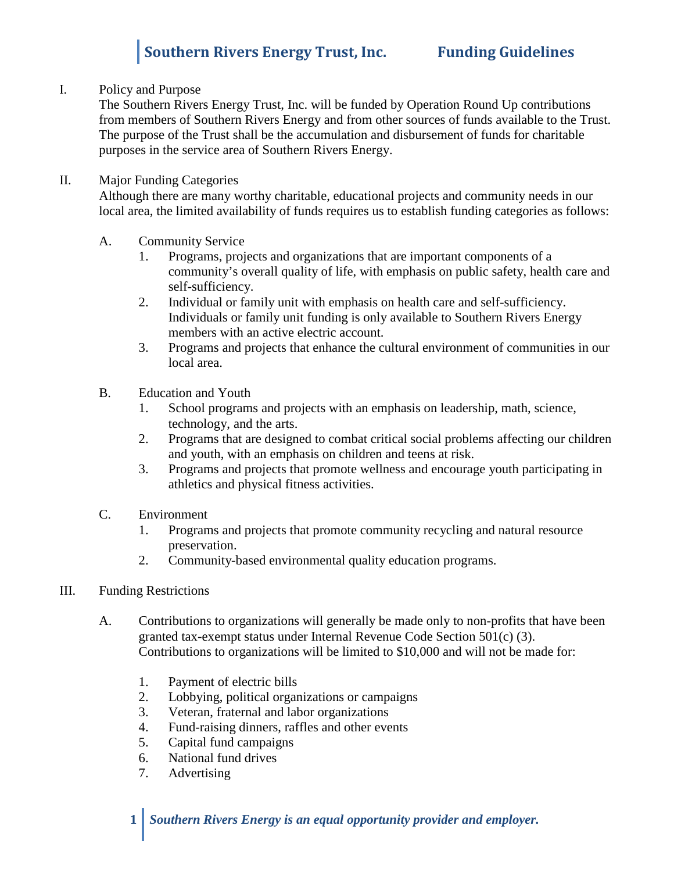# **Southern Rivers Energy Trust, Inc. Funding Guidelines**

### I. Policy and Purpose

The Southern Rivers Energy Trust, Inc. will be funded by Operation Round Up contributions from members of Southern Rivers Energy and from other sources of funds available to the Trust. The purpose of the Trust shall be the accumulation and disbursement of funds for charitable purposes in the service area of Southern Rivers Energy.

## II. Major Funding Categories

Although there are many worthy charitable, educational projects and community needs in our local area, the limited availability of funds requires us to establish funding categories as follows:

- A. Community Service
	- 1. Programs, projects and organizations that are important components of a community's overall quality of life, with emphasis on public safety, health care and self-sufficiency.
	- 2. Individual or family unit with emphasis on health care and self-sufficiency. Individuals or family unit funding is only available to Southern Rivers Energy members with an active electric account.
	- 3. Programs and projects that enhance the cultural environment of communities in our local area.
- B. Education and Youth
	- 1. School programs and projects with an emphasis on leadership, math, science, technology, and the arts.
	- 2. Programs that are designed to combat critical social problems affecting our children and youth, with an emphasis on children and teens at risk.
	- 3. Programs and projects that promote wellness and encourage youth participating in athletics and physical fitness activities.
- C. Environment
	- 1. Programs and projects that promote community recycling and natural resource preservation.
	- 2. Community-based environmental quality education programs.

### III. Funding Restrictions

- A. Contributions to organizations will generally be made only to non-profits that have been granted tax-exempt status under Internal Revenue Code Section 501(c) (3). Contributions to organizations will be limited to \$10,000 and will not be made for:
	- 1. Payment of electric bills
	- 2. Lobbying, political organizations or campaigns
	- 3. Veteran, fraternal and labor organizations
	- 4. Fund-raising dinners, raffles and other events
	- 5. Capital fund campaigns
	- 6. National fund drives
	- 7. Advertising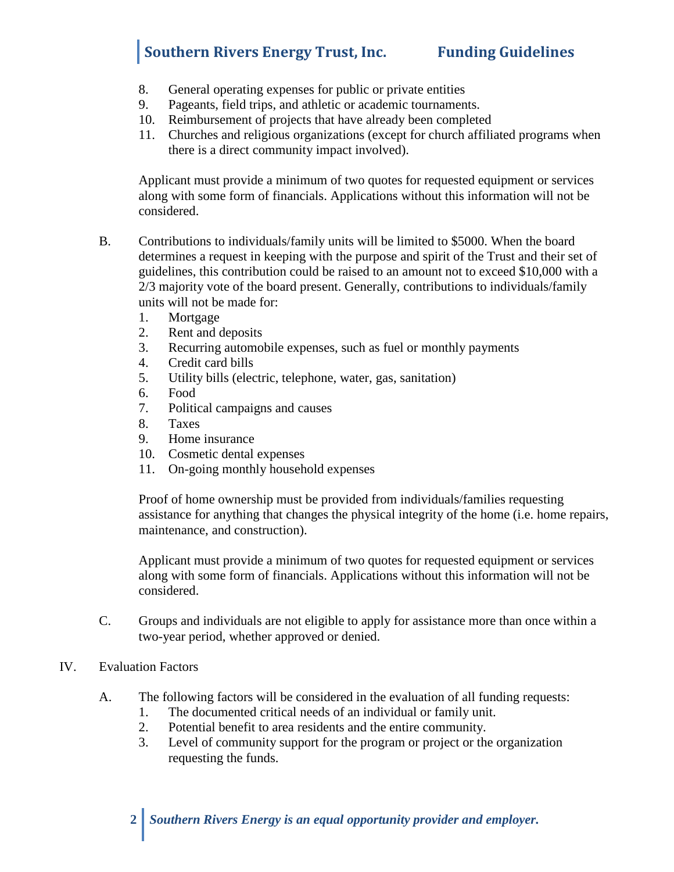## **Southern Rivers Energy Trust, Inc. Funding Guidelines**

- 8. General operating expenses for public or private entities
- 9. Pageants, field trips, and athletic or academic tournaments.
- 10. Reimbursement of projects that have already been completed
- 11. Churches and religious organizations (except for church affiliated programs when there is a direct community impact involved).

Applicant must provide a minimum of two quotes for requested equipment or services along with some form of financials. Applications without this information will not be considered.

- B. Contributions to individuals/family units will be limited to \$5000. When the board determines a request in keeping with the purpose and spirit of the Trust and their set of guidelines, this contribution could be raised to an amount not to exceed \$10,000 with a 2/3 majority vote of the board present. Generally, contributions to individuals/family units will not be made for:
	- 1. Mortgage
	- 2. Rent and deposits
	- 3. Recurring automobile expenses, such as fuel or monthly payments
	- 4. Credit card bills
	- 5. Utility bills (electric, telephone, water, gas, sanitation)
	- 6. Food
	- 7. Political campaigns and causes
	- 8. Taxes
	- 9. Home insurance
	- 10. Cosmetic dental expenses
	- 11. On-going monthly household expenses

Proof of home ownership must be provided from individuals/families requesting assistance for anything that changes the physical integrity of the home (i.e. home repairs, maintenance, and construction).

Applicant must provide a minimum of two quotes for requested equipment or services along with some form of financials. Applications without this information will not be considered.

- C. Groups and individuals are not eligible to apply for assistance more than once within a two-year period, whether approved or denied.
- IV. Evaluation Factors
	- A. The following factors will be considered in the evaluation of all funding requests:
		- 1. The documented critical needs of an individual or family unit.
		- 2. Potential benefit to area residents and the entire community.
		- 3. Level of community support for the program or project or the organization requesting the funds.